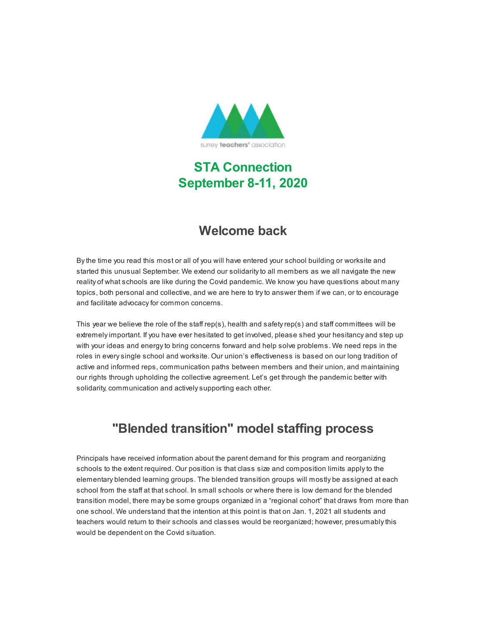

# **STA Connection September 8-11, 2020**

### **Welcome back**

By the time you read this most or all of you will have entered your school building or worksite and started this unusual September. We extend our solidarity to all members as we all navigate the new reality of what schools are like during the Covid pandemic. We know you have questions about many topics, both personal and collective, and we are here to try to answer them if we can, or to encourage and facilitate advocacy for common concerns.

This year we believe the role of the staff rep(s), health and safety rep(s) and staff committees will be extremely important. If you have ever hesitated to get involved, please shed your hesitancy and step up with your ideas and energy to bring concerns forward and help solve problems. We need reps in the roles in every single school and worksite. Our union's effectiveness is based on our long tradition of active and informed reps, communication paths between members and their union, and maintaining our rights through upholding the collective agreement. Let's get through the pandemic better with solidarity, communication and actively supporting each other.

# **"Blended transition" model staffing process**

Principals have received information about the parent demand for this program and reorganizing schools to the extent required. Our position is that class size and composition limits apply to the elementary blended learning groups. The blended transition groups will mostly be assigned at each school from the staff at that school. In small schools or where there is low demand for the blended transition model, there may be some groups organized in a "regional cohort" that draws from more than one school. We understand that the intention at this point is that on Jan. 1, 2021 all students and teachers would return to their schools and classes would be reorganized; however, presumably this would be dependent on the Covid situation.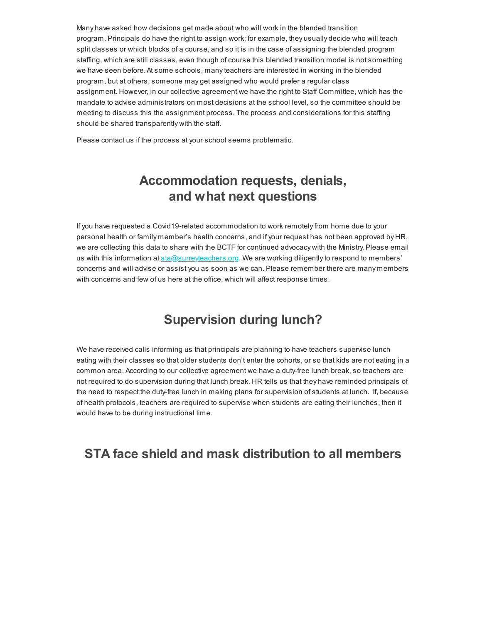Many have asked how decisions get made about who will work in the blended transition program. Principals do have the right to assign work; for example, they usually decide who will teach split classes or which blocks of a course, and so it is in the case of assigning the blended program staffing, which are still classes, even though of course this blended transition model is not something we have seen before.At some schools, many teachers are interested in working in the blended program, but at others, someone may get assigned who would prefer a regular class assignment. However, in our collective agreement we have the right to Staff Committee, which has the mandate to advise administrators on most decisions at the school level, so the committee should be meeting to discuss this the assignment process. The process and considerations for this staffing should be shared transparently with the staff.

Please contact us if the process at your school seems problematic.

### **Accommodation requests, denials, and what next questions**

If you have requested a Covid19-related accommodation to work remotely from home due to your personal health or family member's health concerns, and if your request has not been approved by HR, we are collecting this data to share with the BCTF for continued advocacy with the Ministry. Please email us with this information at **[sta@surreyteachers.org.](mailto:sta@surreyteachers.org)** We are working diligently to respond to members' concerns and will advise or assist you as soon as we can. Please remember there are many members with concerns and few of us here at the office, which will affect response times.

### **Supervision during lunch?**

We have received calls informing us that principals are planning to have teachers supervise lunch eating with their classes so that older students don't enter the cohorts, or so that kids are not eating in a common area. According to our collective agreement we have a duty-free lunch break, so teachers are not required to do supervision during that lunch break. HR tells us that they have reminded principals of the need to respect the duty-free lunch in making plans for supervision of students at lunch. If, because of health protocols, teachers are required to supervise when students are eating their lunches, then it would have to be during instructional time.

### **STA face shield and mask distribution to all members**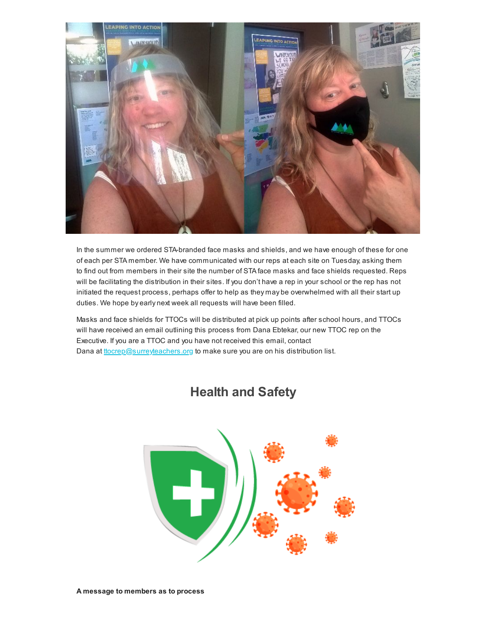

In the summer we ordered STA-branded face masks and shields, and we have enough of these for one of each per STA member. We have communicated with our reps at each site on Tuesday, asking them to find out from members in their site the number of STA face masks and face shields requested. Reps will be facilitating the distribution in their sites. If you don't have a rep in your school or the rep has not initiated the request process, perhaps offer to help as they may be overwhelmed with all their start up duties. We hope by early next week all requests will have been filled.

Masks and face shields for TTOCs will be distributed at pick up points after school hours, and TTOCs will have received an email outlining this process from Dana Ebtekar, our new TTOC rep on the Executive. If you are a TTOC and you have not received this email, contact Dana at tocrep@surreyteachers.org to make sure you are on his distribution list.



### **Health and Safety**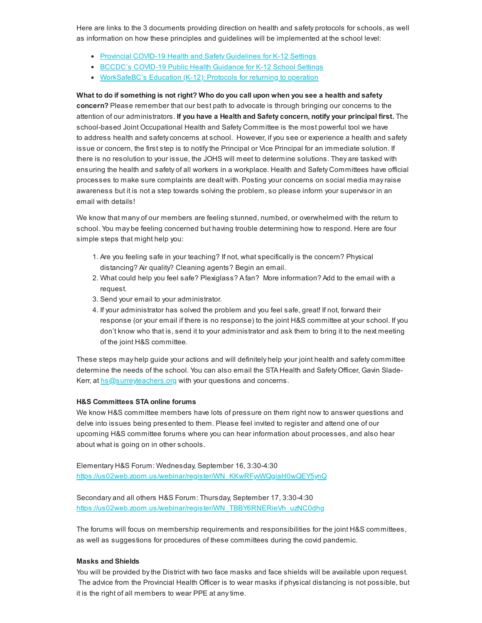Here are links to the 3 documents providing direction on health and safety protocols for schools, as well as information on how these principles and guidelines will be implemented at the school level:

- [Provincial COVID-19 Health and Safety Guidelines for K-12 Settings](https://surreyteachers.us20.list-manage.com/track/click?u=37ec644ae87e34b54b3912660&id=9917c72124&e=7261da6bdb)
- [BCCDC's COVID-19 Public Health Guidance for K-12 School Settings](https://surreyteachers.us20.list-manage.com/track/click?u=37ec644ae87e34b54b3912660&id=be4b6de9dd&e=7261da6bdb)
- [WorkSafeBC's Education \(K-12\): Protocols for returning to operation](https://surreyteachers.us20.list-manage.com/track/click?u=37ec644ae87e34b54b3912660&id=99ef74fadc&e=7261da6bdb)

**What to do if something is not right? Who do you call upon when you see a health and safety concern?** Please remember that our best path to advocate is through bringing our concerns to the attention of our administrators. **If you have a Health and Safety concern, notify your principal first.** The school-based Joint Occupational Health and Safety Committee is the most powerful tool we have to address health and safety concerns at school. However, if you see or experience a health and safety issue or concern, the first step is to notify the Principal or Vice Principal for an immediate solution. If there is no resolution to your issue, the JOHS will meet to determine solutions. They are tasked with ensuring the health and safety of all workers in a workplace. Health and Safety Committees have official processes to make sure complaints are dealt with. Posting your concerns on social media may raise awareness but it is not a step towards solving the problem, so please inform your supervisor in an email with details!

We know that many of our members are feeling stunned, numbed, or overwhelmed with the return to school. You may be feeling concerned but having trouble determining how to respond. Here are four simple steps that might help you:

- 1. Are you feeling safe in your teaching? If not, what specifically is the concern? Physical distancing? Air quality? Cleaning agents? Begin an email.
- 2. What could help you feel safe? Plexiglass? A fan? More information? Add to the email with a request.
- 3. Send your email to your administrator.
- 4. If your administrator has solved the problem and you feel safe, great! If not, forward their response (or your email if there is no response) to the joint H&S committee at your school. If you don't know who that is, send it to your administrator and ask them to bring it to the next meeting of the joint H&S committee.

These steps may help guide your actions and will definitely help your joint health and safety committee determine the needs of the school. You can also email the STA Health and Safety Officer, Gavin SladeKerr, at [hs@surreyteachers.org](mailto:hs@surreyteachers.org) with your questions and concerns.

#### **H&S Committees STA online forums**

We know H&S committee members have lots of pressure on them right now to answer questions and delve into issues being presented to them. Please feel invited to register and attend one of our upcoming H&S committee forums where you can hear information about processes, and also hear about what is going on in other schools.

Elementary H&S Forum: Wednesday, September 16, 3:30-4:30 https://us02web.zoom.us/webinar/register/WN\_KKwRFyWVQgiaH0wQEY5ynQ

Secondary and all others H&S Forum: Thursday, September 17, 3:30-4:30 [https://us02web.zoom.us/webinar/register/WN\\_TBBY6RNERieVh\\_uzNC0dhg](https://surreyteachers.us20.list-manage.com/track/click?u=37ec644ae87e34b54b3912660&id=8dbf0de3f4&e=7261da6bdb)

The forums will focus on membership requirements and responsibilities for the joint H&S committees, as well as suggestions for procedures of these committees during the covid pandemic.

#### **Masks and Shields**

You will be provided by the District with two face masks and face shields will be available upon request. The advice from the Provincial Health Officer is to wear masks if physical distancing is not possible, but it is the right of all members to wear PPE at any time.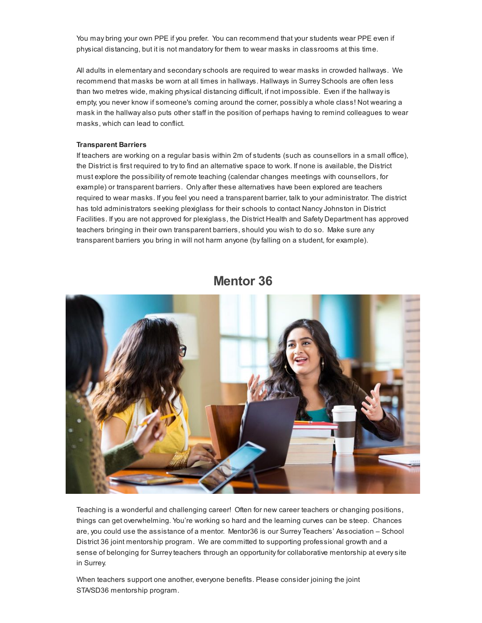You may bring your own PPE if you prefer. You can recommend that your students wear PPE even if physical distancing, but it is not mandatory for them to wear masks in classrooms at this time.

All adults in elementary and secondary schools are required to wear masks in crowded hallways. We recommend that masks be worn at all times in hallways. Hallways in Surrey Schools are often less than two metres wide, making physical distancing difficult, if not impossible. Even if the hallway is empty, you never know if someone's coming around the corner, possibly a whole class! Not wearing a mask in the hallway also puts other staff in the position of perhaps having to remind colleagues to wear masks, which can lead to conflict.

#### **Transparent Barriers**

If teachers are working on a regular basis within 2m of students (such as counsellors in a small office), the District is first required to try to find an alternative space to work. If none is available, the District must explore the possibility of remote teaching (calendar changes meetings with counsellors, for example) or transparent barriers. Only after these alternatives have been explored are teachers required to wear masks. If you feel you need a transparent barrier, talk to your administrator. The district has told administrators seeking plexiglass for their schools to contact Nancy Johnston in District Facilities. If you are not approved for plexiglass, the District Health and Safety Department has approved teachers bringing in their own transparent barriers, should you wish to do so. Make sure any transparent barriers you bring in will not harm anyone (by falling on a student, for example).



### **Mentor 36**

Teaching is a wonderful and challenging career! Often for new career teachers or changing positions, things can get overwhelming. You're working so hard and the learning curves can be steep. Chances are, you could use the assistance of a mentor. Mentor36 is our Surrey Teachers' Association – School District 36 joint mentorship program. We are committed to supporting professional growth and a sense of belonging for Surrey teachers through an opportunity for collaborative mentorship at every site in Surrey.

When teachers support one another, everyone benefits. Please consider joining the joint STA/SD36 mentorship program.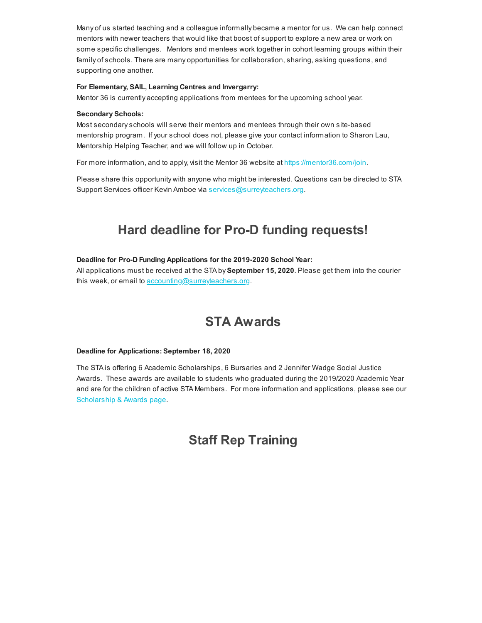Many of us started teaching and a colleague informally became a mentor for us. We can help connect mentors with newer teachers that would like that boost of support to explore a new area or work on some specific challenges. Mentors and mentees work together in cohort learning groups within their family of schools. There are many opportunities for collaboration, sharing, asking questions, and supporting one another.

### **For Elementary, SAIL, Learning Centres and Invergarry:**

Mentor 36 is currently accepting applications from mentees for the upcoming school year.

#### **Secondary Schools:**

Most secondary schools will serve their mentors and mentees through their own site-based mentorship program. If your school does not, please give your contact information to Sharon Lau, Mentorship Helping Teacher, and we will follow up in October.

For more information, and to apply, visit the Mentor 36 website at [https://mentor36.com/join.](https://surreyteachers.us20.list-manage.com/track/click?u=37ec644ae87e34b54b3912660&id=618e5a69ab&e=7261da6bdb)

Please share this opportunity with anyone who might be interested. Questions can be directed to STA Support Services officer Kevin Amboe via [services@surreyteachers.org](mailto:services@surreyteachers.org).

# **Hard deadline for Pro-D funding requests!**

### **Deadline for Pro-D Funding Applications for the 2019-2020 School Year:**

All applications must be received at the STA by **September 15, 2020**. Please get them into the courier this week, or email to [accounting@surreyteachers.org.](mailto:accounting@surreyteachers.org)

### **STA Awards**

#### **Deadline for Applications: September 18, 2020**

The STA is offering 6 Academic Scholarships, 6 Bursaries and 2 Jennifer Wadge Social Justice Awards. These awards are available to students who graduated during the 2019/2020 Academic Year and are for the children of active STA Members. For more information and applications, please see our [Scholarship & Awards page](https://surreyteachers.us20.list-manage.com/track/click?u=37ec644ae87e34b54b3912660&id=83ba5fcbc3&e=7261da6bdb).

### **Staff Rep Training**